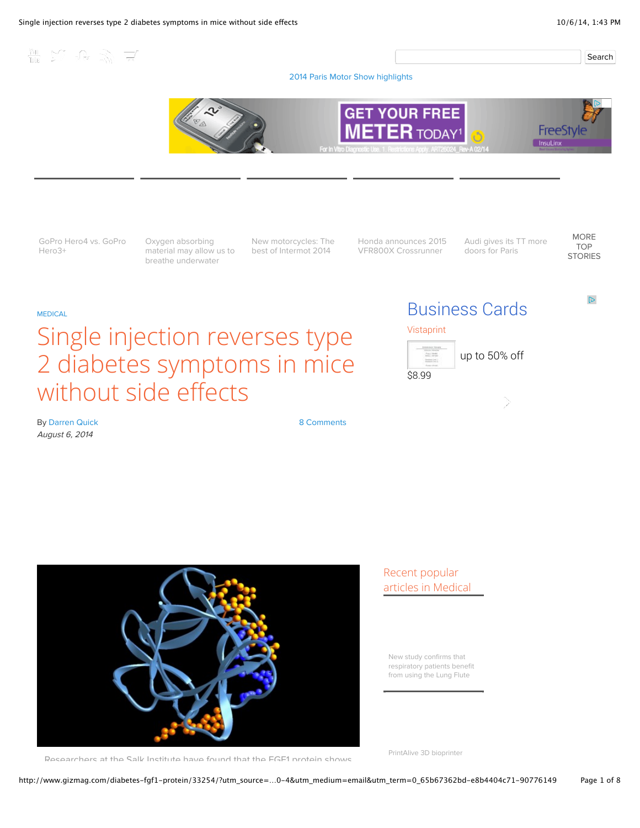Search

[2014 Paris Motor Show highlights](http://www.gizmag.com/tag/paris-motor-show-2014/)



[GoPro Hero4 vs. GoPro](http://www.gizmag.com/gopro-hero4-vs-gopro-hero3plus/34090/) Hero3+

THE ST JR ST

Oxygen absorbing [material may allow us to](http://www.gizmag.com/crystalline-material-absorb-oxygen-denmark/34064/) breathe underwater

[New motorcycles: The](http://www.gizmag.com/best-of-intermot-2014-pictures/34075/) best of Intermot 2014

[Honda announces 2015](http://www.gizmag.com/honda-2015-vfr00x-crossrunner/34046/) VFR800X Crossrunner

[Audi gives its TT more](http://www.gizmag.com/audi-tt-sportback-concept/34094/) doors for Paris

[MORE](http://www.gizmag.com/top_stories/) TOP [STORIES](http://www.gizmag.com/top_stories/)

 $\mathbb{D}$ 

#### [MEDICAL](http://www.gizmag.com/medical/)

# Single injection reverses type 2 diabetes symptoms in mice without side effects

# [Business Cards](http://www.googleadservices.com/pagead/aclk?sa=L&ai=CyFN_j-IyVPHOLdG3lQeqmYCoBbvqt-NA88vy_JYBu-ny4OgBEAEg4YHzGlCB5pmhBWDJhoCA8KPsEqAB3drh0QPIAQbgAgCoAwGqBKcBT9CYWCH_ITn_6os0Sf8TxTvCBn3wqIbAcIRPs-Tx0tGEKVOGXUPEtpqVZmrk5BPnh-YF3Xs_oQeAbdFu4tzSG12af5_SAdBsM6KoBeAJ3NHcVKhOkbi3eGrejcUL1Sx_IJw0bByoeeRCSfwYQcXIE634SDX8KjB2DvAljRKLgsD433eE-pM_HYwDZea-c9Tvksbu0ZS1OwE3RUds81YqF1RegCXJZ53gBAH6BQYIJRABGACIBgGgBjeAB4ulni4&num=1&cid=5Gidc0IYvBoWRb1LEJTOAliZ&sig=AOD64_3FL4qWYGd2sDadOUty2iRDSh_4JA&adurl=http://www.vistaprint.com/vp/gateway.aspx%3FS%3D1289298882%26PREURL%3D/design/B73-1036462/white-simple-premium-business-cards.aspx&client=ca-pub-9834582815442214)





By [Darren Quick](http://www.gizmag.com/author/darren-quick/) August 6, 2014





### Recent popular articles in Medical

New study confirms that respiratory patients benefit [from using the Lung Flute](http://www.gizmag.com/lung-flute-copd/34030/)

Researchers at the Salk Institute have found that the FGF1 protein shows

[PrintAlive 3D bioprinter](http://www.gizmag.com/printalive-biopronter-skin-grafts-burns/34057/)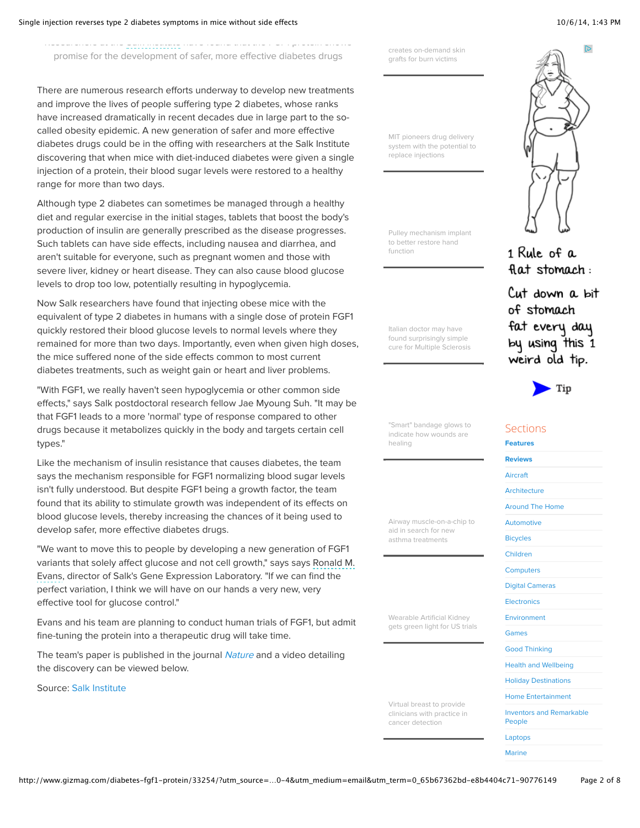Researchers at the Salk Institute have found that the FGF1 protein shows promise for the development of safer, more effective diabetes drugs

There are numerous research efforts underway to develop new treatments and improve the lives of people suffering type 2 diabetes, whose ranks have increased dramatically in recent decades due in large part to the socalled obesity epidemic. A new generation of safer and more effective diabetes drugs could be in the offing with researchers at the Salk Institute discovering that when mice with diet-induced diabetes were given a single injection of a protein, their blood sugar levels were restored to a healthy range for more than two days.

Although type 2 diabetes can sometimes be managed through a healthy diet and regular exercise in the initial stages, tablets that boost the body's production of insulin are generally prescribed as the disease progresses. Such tablets can have side effects, including nausea and diarrhea, and aren't suitable for everyone, such as pregnant women and those with severe liver, kidney or heart disease. They can also cause blood glucose levels to drop too low, potentially resulting in hypoglycemia.

Now Salk researchers have found that injecting obese mice with the equivalent of type 2 diabetes in humans with a single dose of protein FGF1 quickly restored their blood glucose levels to normal levels where they remained for more than two days. Importantly, even when given high doses, the mice suffered none of the side effects common to most current diabetes treatments, such as weight gain or heart and liver problems.

"With FGF1, we really haven't seen hypoglycemia or other common side effects," says Salk postdoctoral research fellow Jae Myoung Suh. "It may be that FGF1 leads to a more 'normal' type of response compared to other drugs because it metabolizes quickly in the body and targets certain cell types."

Like the mechanism of insulin resistance that causes diabetes, the team says the mechanism responsible for FGF1 normalizing blood sugar levels isn't fully understood. But despite FGF1 being a growth factor, the team found that its ability to stimulate growth was independent of its effects on blood glucose levels, thereby increasing the chances of it being used to develop safer, more effective diabetes drugs.

"We want to move this to people by developing a new generation of FGF1 variants that solely affect glucose and not cell growth," says says Ronald M. Evans, director of Salk's Gene Expression Laboratory. "If we can find the perfect variation, I think we will have on our hands a very new, very effective tool for glucose control."

Evans and his team are planning to conduct human trials of FGF1, but admit fine-tuning the protein into a therapeutic drug will take time.

The team's paper is published in the journal [Nature](http://www.nature.com/nature/journal/vaop/ncurrent/full/nature13540.html) and a video detailing the discovery can be viewed below.

Source: [Salk Institute](http://www.salk.edu/news/pressrelease_details.php?press_id=2037)

[creates on-demand skin](http://www.gizmag.com/printalive-biopronter-skin-grafts-burns/34057/) grafts for burn victims

MIT pioneers drug delivery [system with the potential to](http://www.gizmag.com/drug-delivery-system-capsule-microneedles-mit/34083/) replace injections

[Pulley mechanism implant](http://www.gizmag.com/pulley-implant-hand-function/33992/) to better restore hand function

Italian doctor may have found surprisingly simple [cure for Multiple Sclerosis](http://www.gizmag.com/ccsvi-multiple-sclerosis-ms-cure-zamboni/13447/)

"Smart" bandage glows to [indicate how wounds are](http://www.gizmag.com/smart-glowing-skin-bandage/34066/) healing

[Airway muscle-on-a-chip to](http://www.gizmag.com/human-airway-muscle-on-a-chip-asthma/33951/) aid in search for new asthma treatments

Wearable Artificial Kidney [gets green light for US trials](http://www.gizmag.com/wearable-artificial-kidney-trials/33835/)

Virtual breast to provide [clinicians with practice in](http://www.gizmag.com/virtual-breast-ultrasound-elstography/34077/) cancer detection





1 Rule of a flat stomach:

Cut down a bit of stomach fat every day by using this 1 weird old tip.



#### Sections

[Features](http://www.gizmag.com/features/) [Reviews](http://www.gizmag.com/reviews/) [Aircraft](http://www.gizmag.com/aircraft/) [Architecture](http://www.gizmag.com/architecture/) [Around The Home](http://www.gizmag.com/aroundthehome/) [Automotive](http://www.gizmag.com/automotive/) [Bicycles](http://www.gizmag.com/bicycles/) [Children](http://www.gizmag.com/children/) **[Computers](http://www.gizmag.com/computers/)** [Digital Cameras](http://www.gizmag.com/digital-cameras/) **[Electronics](http://www.gizmag.com/electronics/)** [Environment](http://www.gizmag.com/environment/) [Games](http://www.gizmag.com/games/) [Good Thinking](http://www.gizmag.com/goodthinking/) [Health and Wellbeing](http://www.gizmag.com/health/) [Holiday Destinations](http://www.gizmag.com/destinations/) [Home Entertainment](http://www.gizmag.com/homeentertainment/) [Inventors and Remarkable](http://www.gizmag.com/remarkablepeople/) People [Laptops](http://www.gizmag.com/laptops/) [Marine](http://www.gizmag.com/marine/)

http://www.gizmag.com/diabetes-fgf1-protein/33254/?utm\_source=…0-4&utm\_medium=email&utm\_term=0\_65b67362bd-e8b4404c71-90776149 Page 2 of 8